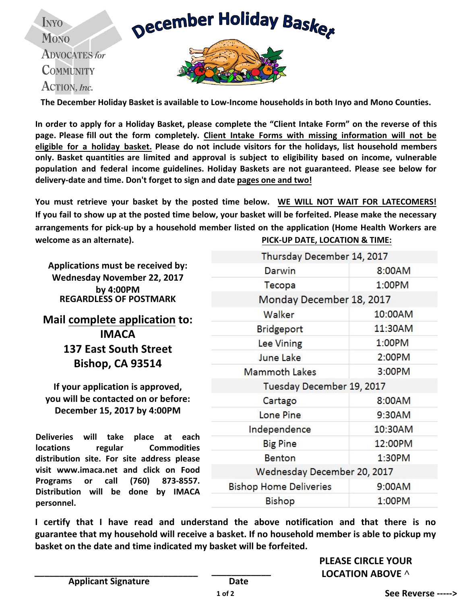**December Holiday Baskey** 

**INYO MONO ADVOCATES** for **COMMUNITY** ACTION, Inc.



**The December Holiday Basket is available to Low-Income households in both Inyo and Mono Counties.** 

In order to apply for a Holiday Basket, please complete the "Client Intake Form" on the reverse of this **page. Please fill out the form completely. Client Intake Forms with missing information will not be eligible for a holiday basket. Please do not include visitors for the holidays, list household members only. Basket quantities are limited and approval is subject to eligibility based on income, vulnerable population and federal income guidelines. Holiday Baskets are not guaranteed. Please see below for delivery-date and time. Don't forget to sign and date pages one and two!** 

**You must retrieve your basket by the posted time below. WE WILL NOT WAIT FOR LATECOMERS! If you fail to show up at the posted time below, your basket will be forfeited. Please make the necessary arrangements for pick-up by a household member listed on the application (Home Health Workers are welcome as an alternate). PICK-UP DATE, LOCATION & TIME:**

**Applications must be received by: Wednesday November 22, 2017 by 4:00PM REGARDLESS OF POSTMARK**

## **Mail complete application to: IMACA 137 East South Street Bishop, CA 93514**

**If your application is approved, you will be contacted on or before: December 15, 2017 by 4:00PM**

**Deliveries will take place at each locations regular Commodities distribution site. For site address please visit www.imaca.net and click on Food Programs or call (760) 873-8557. Distribution will be done by IMACA personnel.** 

| Thursday December 14, 2017    |         |  |  |  |  |  |
|-------------------------------|---------|--|--|--|--|--|
| Darwin                        | 8:00AM  |  |  |  |  |  |
| Tecopa                        | 1:00PM  |  |  |  |  |  |
| Monday December 18, 2017      |         |  |  |  |  |  |
| Walker                        | 10:00AM |  |  |  |  |  |
| Bridgeport                    | 11:30AM |  |  |  |  |  |
| Lee Vining                    | 1:00PM  |  |  |  |  |  |
| <b>June Lake</b>              | 2:00PM  |  |  |  |  |  |
| <b>Mammoth Lakes</b>          | 3:00PM  |  |  |  |  |  |
| Tuesday December 19, 2017     |         |  |  |  |  |  |
| Cartago                       | 8:00AM  |  |  |  |  |  |
| Lone Pine                     | 9:30AM  |  |  |  |  |  |
| Independence                  | 10:30AM |  |  |  |  |  |
| <b>Big Pine</b>               | 12:00PM |  |  |  |  |  |
| <b>Benton</b>                 | 1:30PM  |  |  |  |  |  |
| Wednesday December 20, 2017   |         |  |  |  |  |  |
| <b>Bishop Home Deliveries</b> | 9:00AM  |  |  |  |  |  |
| <b>Bishop</b>                 | 1:00PM  |  |  |  |  |  |
|                               |         |  |  |  |  |  |

**I certify that I have read and understand the above notification and that there is no guarantee that my household will receive a basket. If no household member is able to pickup my basket on the date and time indicated my basket will be forfeited.** 

> **PLEASE CIRCLE YOUR LOCATION ABOVE ^**